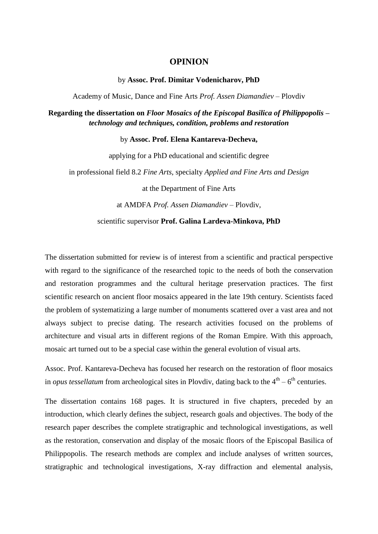## **OPINION**

## by **Assoc. Prof. Dimitar Vodenicharov, PhD**

Academy of Music, Dance and Fine Arts *Prof. Assen Diamandiev* – Plovdiv

**Regarding the dissertation on** *Floor Mosaics of the Episcopal Basilica of Philippopolis – technology and techniques, condition, problems and restoration*

## by **Assoc. Prof. Elena Kantareva-Decheva,**

applying for a PhD educational and scientific degree in professional field 8.2 *Fine Arts*, specialty *Applied and Fine Arts and Design*

at the Department of Fine Arts

at AMDFA *Prof. Assen Diamandiev* – Plovdiv,

## scientific supervisor **Prof. Galina Lardeva-Minkova, PhD**

The dissertation submitted for review is of interest from a scientific and practical perspective with regard to the significance of the researched topic to the needs of both the conservation and restoration programmes and the cultural heritage preservation practices. The first scientific research on ancient floor mosaics appeared in the late 19th century. Scientists faced the problem of systematizing a large number of monuments scattered over a vast area and not always subject to precise dating. The research activities focused on the problems of architecture and visual arts in different regions of the Roman Empire. With this approach, mosaic art turned out to be a special case within the general evolution of visual arts.

Assoc. Prof. Kantareva-Decheva has focused her research on the restoration of floor mosaics in *opus tessellatum* from archeological sites in Plovdiv, dating back to the  $4<sup>th</sup> - 6<sup>th</sup>$  centuries.

The dissertation contains 168 pages. It is structured in five chapters, preceded by an introduction, which clearly defines the subject, research goals and objectives. The body of the research paper describes the complete stratigraphic and technological investigations, as well as the restoration, conservation and display of the mosaic floors of the Episcopal Basilica of Philippopolis. The research methods are complex and include analyses of written sources, stratigraphic and technological investigations, X-ray diffraction and elemental analysis,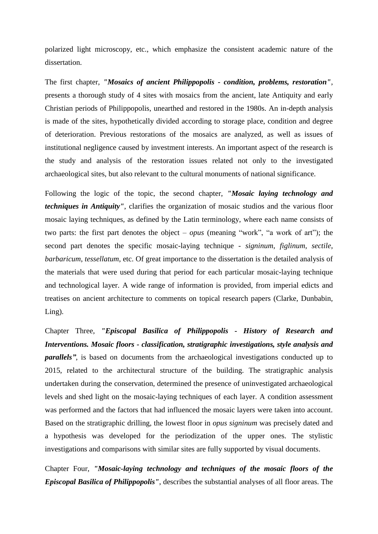polarized light microscopy, etc., which emphasize the consistent academic nature of the dissertation.

The first chapter, *"Mosaics of ancient Philippopolis - condition, problems, restoration"*, presents a thorough study of 4 sites with mosaics from the ancient, late Antiquity and early Christian periods of Philippopolis, unearthed and restored in the 1980s. An in-depth analysis is made of the sites, hypothetically divided according to storage place, condition and degree of deterioration. Previous restorations of the mosaics are analyzed, as well as issues of institutional negligence caused by investment interests. An important aspect of the research is the study and analysis of the restoration issues related not only to the investigated archaeological sites, but also relevant to the cultural monuments of national significance.

Following the logic of the topic, the second chapter, *"Mosaic laying technology and techniques in Antiquity"*, clarifies the organization of mosaic studios and the various floor mosaic laying techniques, as defined by the Latin terminology, where each name consists of two parts: the first part denotes the object – *opus* (meaning "work", "a work of art"); the second part denotes the specific mosaic-laying technique - *signinum*, *figlinum*, *sectile*, *barbaricum*, *tessellatum*, etc. Of great importance to the dissertation is the detailed analysis of the materials that were used during that period for each particular mosaic-laying technique and technological layer. A wide range of information is provided, from imperial edicts and treatises on ancient architecture to comments on topical research papers (Clarke, Dunbabin, Ling).

Chapter Three, *"Episcopal Basilica of Philippopolis - History of Research and Interventions. Mosaic floors - classification, stratigraphic investigations, style analysis and parallels"*, is based on documents from the archaeological investigations conducted up to 2015, related to the architectural structure of the building. The stratigraphic analysis undertaken during the conservation, determined the presence of uninvestigated archaeological levels and shed light on the mosaic-laying techniques of each layer. A condition assessment was performed and the factors that had influenced the mosaic layers were taken into account. Based on the stratigraphic drilling, the lowest floor in *opus signinum* was precisely dated and a hypothesis was developed for the periodization of the upper ones. The stylistic investigations and comparisons with similar sites are fully supported by visual documents.

Chapter Four, *"Mosaic-laying technology and techniques of the mosaic floors of the Episcopal Basilica of Philippopolis"*, describes the substantial analyses of all floor areas. The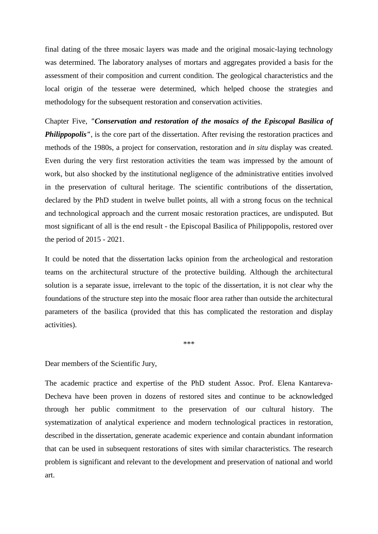final dating of the three mosaic layers was made and the original mosaic-laying technology was determined. The laboratory analyses of mortars and aggregates provided a basis for the assessment of their composition and current condition. The geological characteristics and the local origin of the tesserae were determined, which helped choose the strategies and methodology for the subsequent restoration and conservation activities.

Chapter Five, *"Conservation and restoration of the mosaics of the Episcopal Basilica of*  **Philippopolis''**, is the core part of the dissertation. After revising the restoration practices and methods of the 1980s, a project for conservation, restoration and *in situ* display was created. Even during the very first restoration activities the team was impressed by the amount of work, but also shocked by the institutional negligence of the administrative entities involved in the preservation of cultural heritage. The scientific contributions of the dissertation, declared by the PhD student in twelve bullet points, all with a strong focus on the technical and technological approach and the current mosaic restoration practices, are undisputed. But most significant of all is the end result - the Episcopal Basilica of Philippopolis, restored over the period of 2015 - 2021.

It could be noted that the dissertation lacks opinion from the archeological and restoration teams on the architectural structure of the protective building. Although the architectural solution is a separate issue, irrelevant to the topic of the dissertation, it is not clear why the foundations of the structure step into the mosaic floor area rather than outside the architectural parameters of the basilica (provided that this has complicated the restoration and display activities).

\*\*\*

Dear members of the Scientific Jury,

The academic practice and expertise of the PhD student Assoc. Prof. Elena Kantareva-Decheva have been proven in dozens of restored sites and continue to be acknowledged through her public commitment to the preservation of our cultural history. The systematization of analytical experience and modern technological practices in restoration, described in the dissertation, generate academic experience and contain abundant information that can be used in subsequent restorations of sites with similar characteristics. The research problem is significant and relevant to the development and preservation of national and world art.